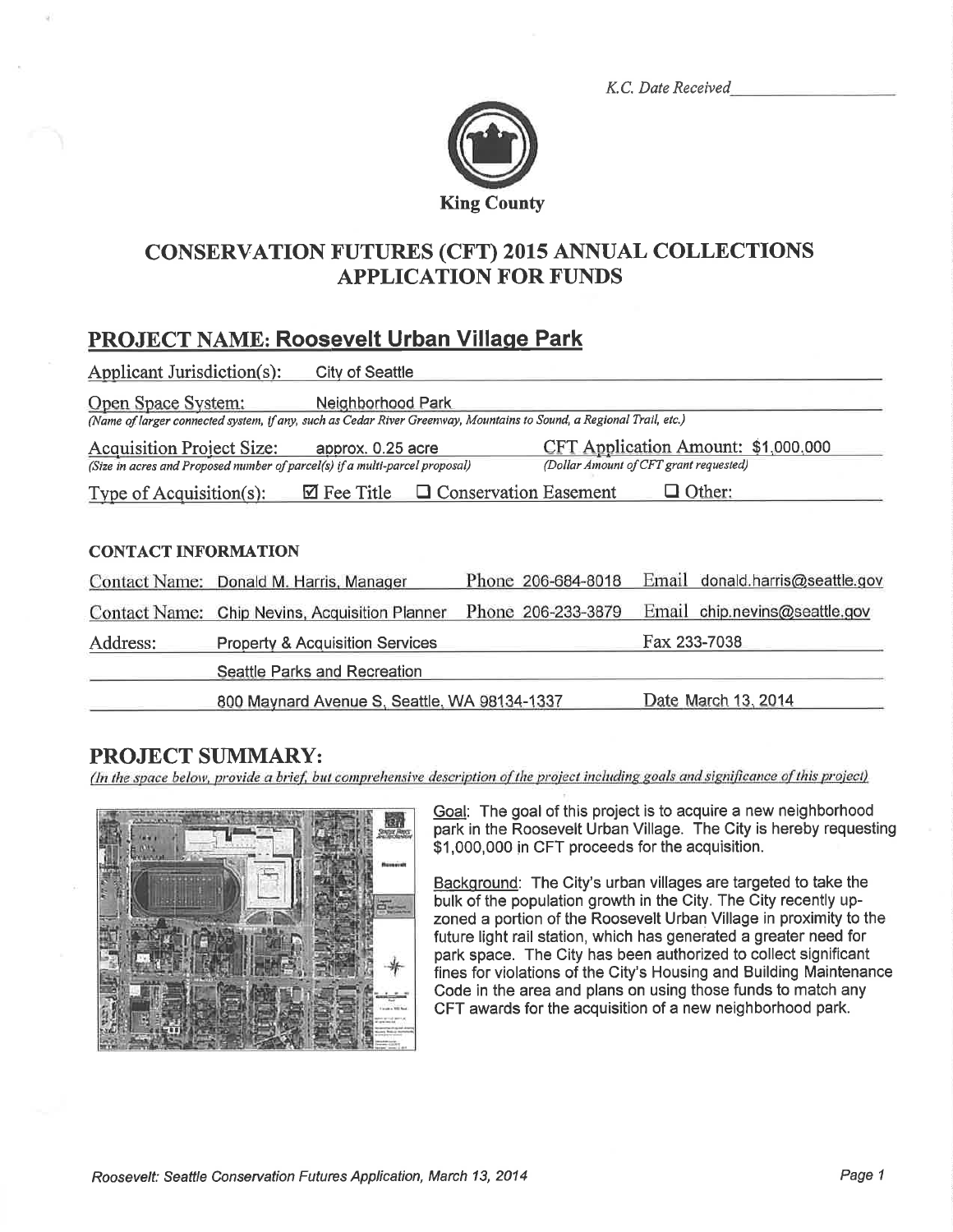K.C. Date Received



## **CONSERVATION FUTURES (CFT) 2015 ANNUAL COLLECTIONS APPLICATION FOR FUNDS**

# **PROJECT NAME: Roosevelt Urban Village Park**

| Applicant Jurisdiction(s):                                                                                                                                                                                            | <b>City of Seattle</b>                                                                                                                   |                    |                                 |  |  |  |
|-----------------------------------------------------------------------------------------------------------------------------------------------------------------------------------------------------------------------|------------------------------------------------------------------------------------------------------------------------------------------|--------------------|---------------------------------|--|--|--|
| Open Space System:                                                                                                                                                                                                    | Neighborhood Park<br>(Name of larger connected system, if any, such as Cedar River Greenway, Mountains to Sound, a Regional Trail, etc.) |                    |                                 |  |  |  |
| CFT Application Amount: \$1,000,000<br><b>Acquisition Project Size:</b><br>approx. 0.25 acre<br>(Dollar Amount of CFT grant requested)<br>(Size in acres and Proposed number of parcel(s) if a multi-parcel proposal) |                                                                                                                                          |                    |                                 |  |  |  |
| $\Box$ Conservation Easement<br>$\Box$ Other:<br>$\boxtimes$ Fee Title<br>Type of Acquisition(s):                                                                                                                     |                                                                                                                                          |                    |                                 |  |  |  |
|                                                                                                                                                                                                                       |                                                                                                                                          |                    |                                 |  |  |  |
| <b>CONTACT INFORMATION</b>                                                                                                                                                                                            |                                                                                                                                          |                    |                                 |  |  |  |
| Contact Name:                                                                                                                                                                                                         | Donald M. Harris, Manager                                                                                                                | Phone 206-684-8018 | Email donald.harris@seattle.gov |  |  |  |
| <b>Contact Name:</b>                                                                                                                                                                                                  | Chip Nevins, Acquisition Planner                                                                                                         | Phone 206-233-3879 | Email chip.nevins@seattle.gov   |  |  |  |
| Address:                                                                                                                                                                                                              | <b>Property &amp; Acquisition Services</b>                                                                                               |                    | Fax 233-7038                    |  |  |  |
|                                                                                                                                                                                                                       | Seattle Parks and Recreation                                                                                                             |                    |                                 |  |  |  |
|                                                                                                                                                                                                                       | 800 Maynard Avenue S, Seattle, WA 98134-1337                                                                                             |                    | Date March 13, 2014             |  |  |  |

## **PROJECT SUMMARY:**

(In the space below, provide a brief, but comprehensive description of the project including goals and significance of this project)



Goal: The goal of this project is to acquire a new neighborhood park in the Roosevelt Urban Village. The City is hereby requesting \$1,000,000 in CFT proceeds for the acquisition.

Background: The City's urban villages are targeted to take the bulk of the population growth in the City. The City recently upzoned a portion of the Roosevelt Urban Village in proximity to the future light rail station, which has generated a greater need for park space. The City has been authorized to collect significant fines for violations of the City's Housing and Building Maintenance Code in the area and plans on using those funds to match any CFT awards for the acquisition of a new neighborhood park.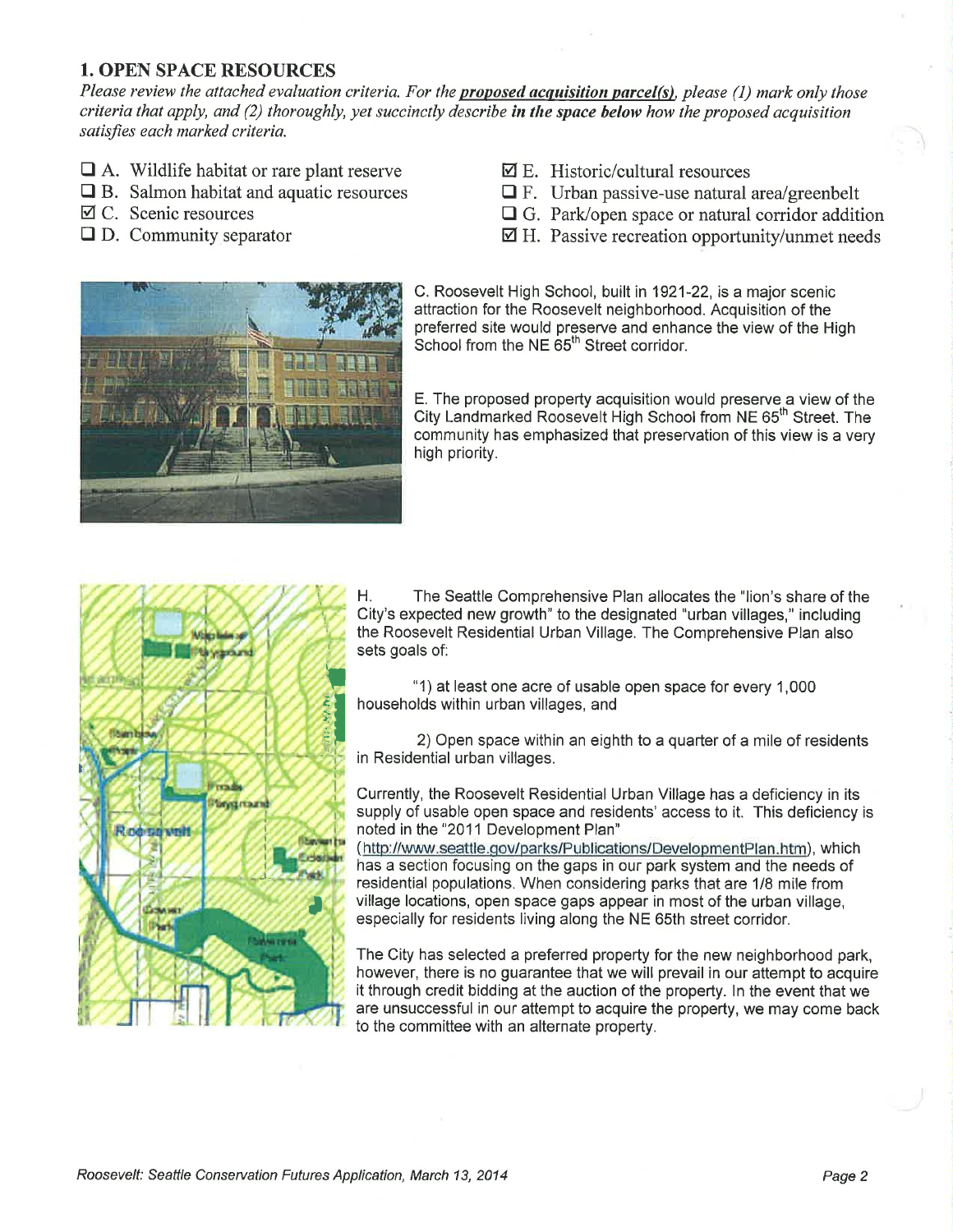### 1. OPEN SPACE RESOURCES

Please review the attached evaluation criteria. For the **proposed acquisition parcel(s)**, please (1) mark only those criteria that apply, and (2) thoroughly, yet succinctly describe in the space below how the proposed acquisition satisfies each marked criteria.

- $\Box$  A. Wildlife habitat or rare plant reserve
- $\Box$  B. Salmon habitat and aquatic resources
- $\boxtimes$  C. Scenic resources
- $\Box$  D. Community separator
- $\boxtimes$  E. Historic/cultural resources
- $\Box$  F. Urban passive-use natural area/greenbelt
- $\Box$  G. Park/open space or natural corridor addition
- Ø H. Passive recreation opportunity/unmet needs



C. Roosevelt High School, built in 1921-22, is a major scenic attraction for the Roosevelt neighborhood. Acquisition of the preferred site would preserve and enhance the view of the High School from the NE 65<sup>th</sup> Street corridor.

E. The proposed property acquisition would preserve.a view of the City Landmarked Roosevelt High School from NE 65<sup>th</sup> Street. The community has emphasized that preservation of this view is a very high priority.



H. The Seattle Comprehensive Plan allocates the "lion's share of the City's expected new growth" to the designated "urban villages," including the Roosevelt Residential Urban Village. The Comprehensive Plan also sets goals of:

"1) at least one acre of usable open space for every 1 ,000 households within urban villages, and

2) Open space within an eighth to a quarter of a mile of residents in Residential urban villages.

Gurrently, the Roosevelt Residential Urban Village has a deficiency in its supply of usable open space and residents' access to it. This deficiency is noted in the "2011 Development Plan"

(http://www.seattle.gov/parks/Publications/DevelopmentPlan.htm), which has a section focusing on the gaps in our park system and the needs of residential populations. When eonsidering parks that are 118 mile from village locations, open space gaps appear in most of the urban village, especially for residents living along the NE 65th street corridor.

The City has selected a preferred property for the new neighborhood park, however, there is no guarantee that we will prevail in our attempt to acquire it through credit bidding at the auction of the property. ln the event that we are unsuccessful in our attempt to acquire the property, we may come back to the committee with an alternate property.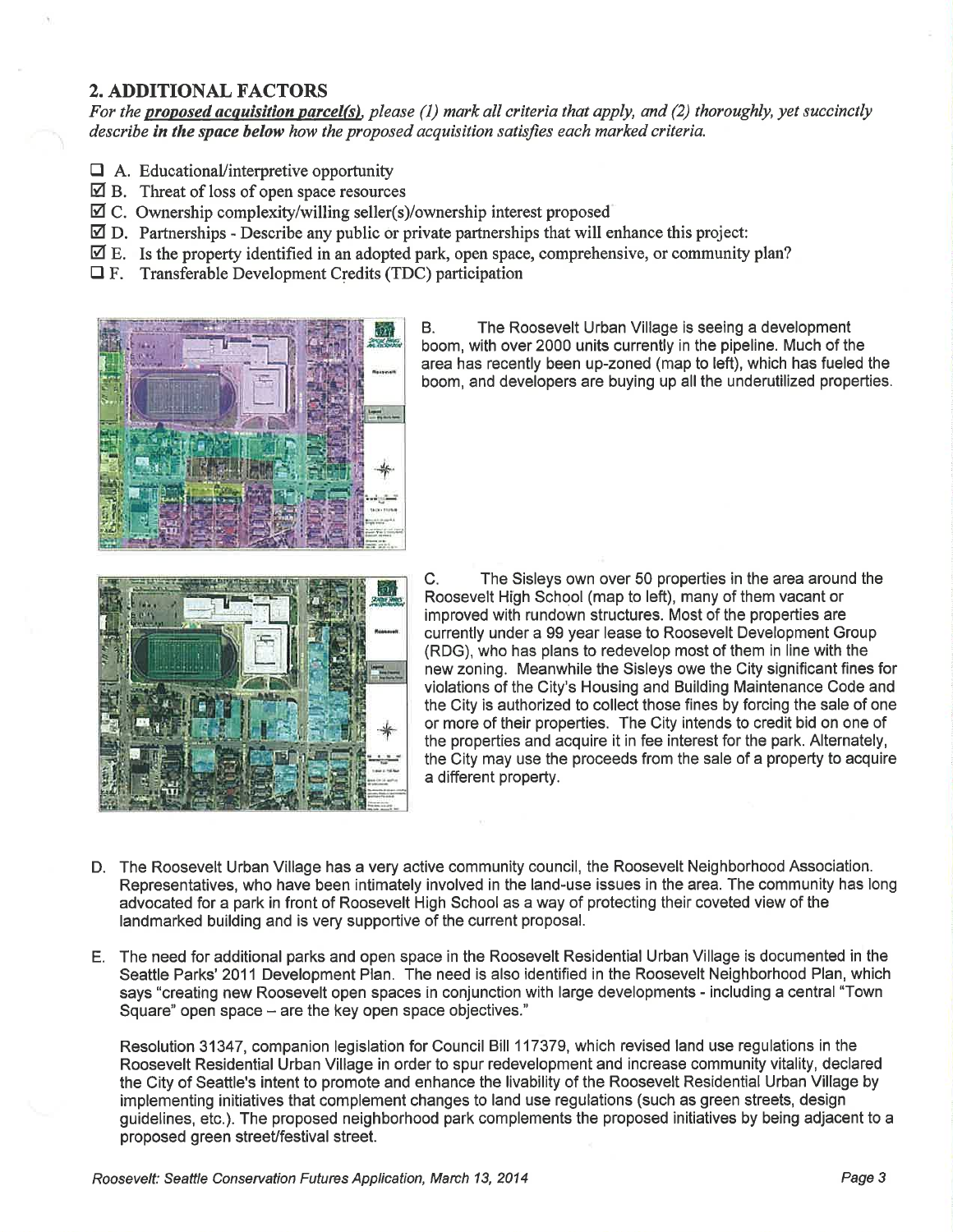#### 2. ADDITIONAL FACTORS

For the proposed acquisition parcel(s), please  $(1)$  mark all criteria that apply, and  $(2)$  thoroughly, yet succinctly describe in the space below how the proposed acquisition satisfies each marked criteria.

- $\Box$  A. Educational/interpretive opportunity
- $\boxtimes$  B. Threat of loss of open space resources
- $\boxtimes$  C. Ownership complexity/willing seller(s)/ownership interest proposed
- $\overline{\mathfrak{D}}$  D. Partnerships Describe any public or private partnerships that will enhance this project:
- $\mathbb Z$  E. Is the property identified in an adopted park, open space, comprehensive, or community plan?
- $\Box$  F. Transferable Development Credits (TDC) participation



B. The Roosevelt Urban Village is seeing a development boom, with over 2000 units currently in the pipeline. Much of the area has recently been up-zoned (map to left), which has fueled the boom, and developers are buying up all the underutilized properties.



C. The Sisleys own over 50 properties in the area around the Roosevelt High School (map to left), many of them vacant or improved with rundown structures. Most of the properties are currently under a 99 year lease to Roosevelt Development Group (RDG), who has plans to redevelop most of them in line with the new zoning. Meanwhile the Sisleys owe the City significant fines for violations of the City's Housing and Building Maintenance Code and the City is authorized to collect those fines by forcing the sale of one or more of their properties. The City intends to credit bid on one of the properties and acquire it in fee interest for the park. Alternately, the City may use the proceeds from the sale of a property to acquire a different property.

- D. The Roosevelt Urban Village has a very active community council, the Roosevelt Neighborhood Association. Representatives, who have been intimately involved in the land-use issues in the area. The community has long advocated for a park in front of Roosevelt High School as a way of protecting their coveted view of the landmarked building and is very supportive of the current proposal.
- E. The need for additional parks and open space in the Roosevelt Residential Urban Village is documented in the Seattle Parks' 2011 Development Plan. The need is also identified in the Roosevelt Neighborhood Plan, which says "creating new Roosevelt open spaces in conjunction with large developments - including a central "Town Square" open space – are the key open space objectives."

Resolution 31347, companion legislation for Council Bill 117379, which revised land use regulations in the Roosevelt Residential Urban Village in order to spur redevelopment and increase community vitality, declared the City of Seattle's intent to promote and enhance the livability of the Roosevelt Residential Urban Village by implementing initiatives that complement changes to land use regulations (such as green streets, design guidelines, etc.). The proposed neighborhood park complements the proposed initiatives by being adjacent to a proposed green streeVfestival street.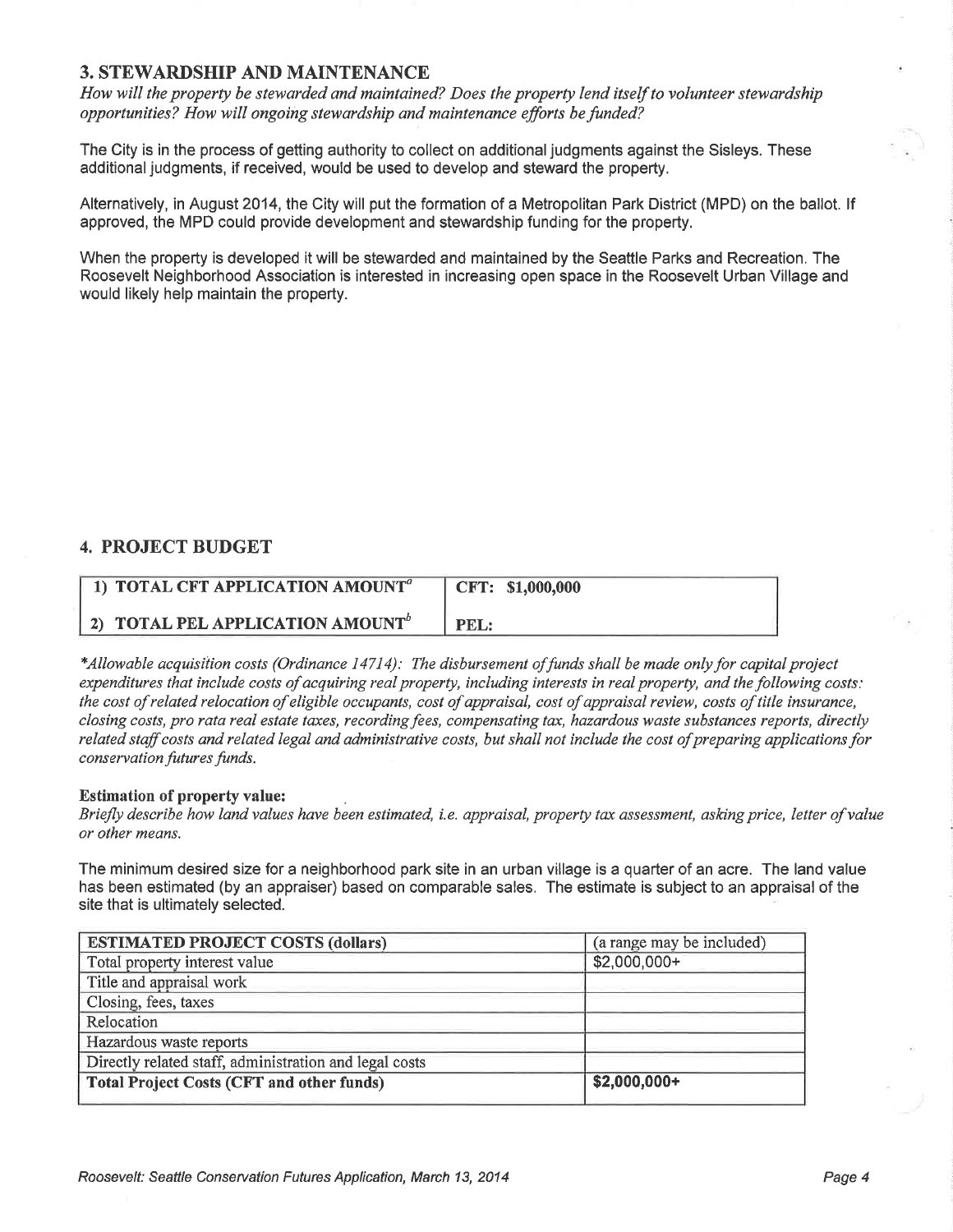#### 3. STEWARDSHIP AND MAINTENANCE

How will the property be stewarded and maintained? Does the property lend itself to volunteer stewardship opportunities? How will ongoing stewardship and maintenance efforts be funded?

The City is in the process of getting authority to collect on additional judgments against the Sisleys. These additional judgments, if received, would be used to develop and steward the property.

Alternatively, in August 2014, the City will put the formation of a Metropolitan Park District (MPD) on the ballot. lf approved, the MPD could provide development and stewardship funding for the property.

When the property is developed it will be stewarded and maintained by the Seattle Parks and Recreation, The Roosevelt Neighborhood Association is interested in increasing open space in the Roosevelt Urban Village and would likely help maintain the property.

#### 4. PROJECT BUDGET

| 1) TOTAL CFT APPLICATION AMOUNT <sup>a</sup> | CFT: \$1,000,000 |
|----------------------------------------------|------------------|
| 2) TOTAL PEL APPLICATION AMOUNT <sup>b</sup> | PEL:             |

\*Allowable acquisition costs (Ordinance 14714): The disbursement of funds shall be made only for capital project expenditures that include costs of acquiring real property, including interests in real property, and the following costs: the cost of related relocation of eligible occupants, cost of appraisal, cost of appraisal review, costs of title insurance, closing costs, pro rata real estate taxes, recording fees, compensating tax, hazardous waste substances reports, directly related staff costs and related legal and administrative costs, but shall not include the cost of preparing applications for conservation futures funds.

#### Estimation of property value:

Briefly describe how land values have been estimated, i.e. appraisal, property tax assessment, asking price, letter of value or other means.

The minimum desired size for a neighborhood park site in an urban village is a quarter of an acre. The land value has been estimated (by an appraiser) based on comparable sales. The estimate is subject to an appraisal of the site that is ultimately selected.

| <b>ESTIMATED PROJECT COSTS (dollars)</b>               | (a range may be included) |  |
|--------------------------------------------------------|---------------------------|--|
| Total property interest value                          | \$2,000,000+              |  |
| Title and appraisal work                               |                           |  |
| Closing, fees, taxes                                   |                           |  |
| Relocation                                             |                           |  |
| Hazardous waste reports                                |                           |  |
| Directly related staff, administration and legal costs |                           |  |
| <b>Total Project Costs (CFT and other funds)</b>       | $$2,000,000+$             |  |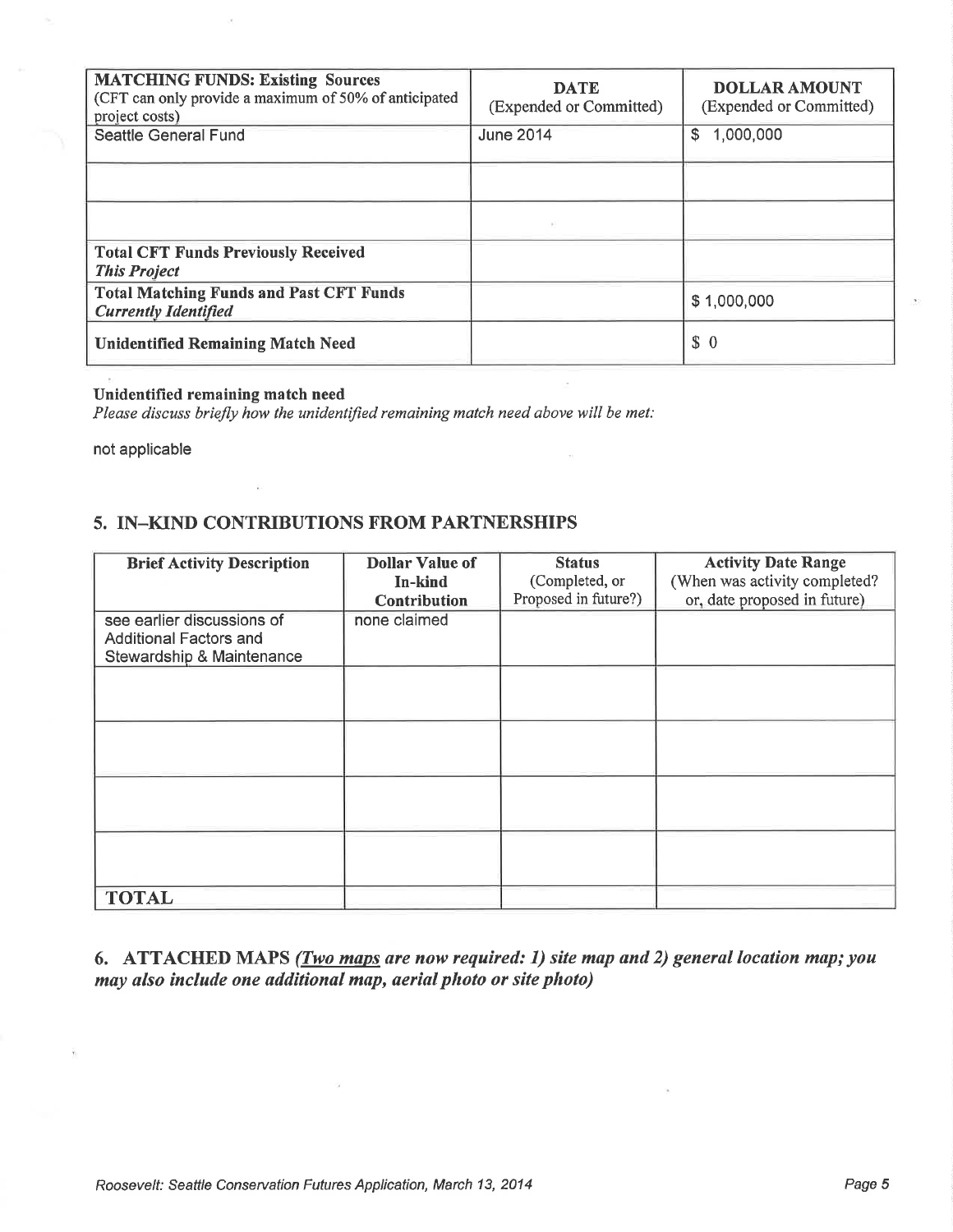| <b>MATCHING FUNDS: Existing Sources</b><br>(CFT can only provide a maximum of 50% of anticipated<br>project costs) | <b>DATE</b><br>(Expended or Committed) | <b>DOLLAR AMOUNT</b><br>(Expended or Committed) |
|--------------------------------------------------------------------------------------------------------------------|----------------------------------------|-------------------------------------------------|
| <b>Seattle General Fund</b>                                                                                        | <b>June 2014</b>                       | 1,000,000<br>S                                  |
|                                                                                                                    |                                        |                                                 |
|                                                                                                                    |                                        |                                                 |
| <b>Total CFT Funds Previously Received</b><br><b>This Project</b>                                                  |                                        |                                                 |
| <b>Total Matching Funds and Past CFT Funds</b><br><b>Currently Identified</b>                                      |                                        | \$1,000,000                                     |
| <b>Unidentified Remaining Match Need</b>                                                                           |                                        | \$0                                             |

#### Unidentified remaining match need

Please discuss briefly how the unidentified remaining match need above will be met:

not applicable

#### 5. IN-KIND CONTRIBUTIONS FROM PARTNERSHIPS

| <b>Brief Activity Description</b>                                                        | <b>Dollar Value of</b><br>In-kind<br>Contribution | <b>Status</b><br>(Completed, or<br>Proposed in future?) | <b>Activity Date Range</b><br>(When was activity completed?<br>or, date proposed in future) |
|------------------------------------------------------------------------------------------|---------------------------------------------------|---------------------------------------------------------|---------------------------------------------------------------------------------------------|
| see earlier discussions of<br><b>Additional Factors and</b><br>Stewardship & Maintenance | none claimed                                      |                                                         |                                                                                             |
|                                                                                          |                                                   |                                                         |                                                                                             |
|                                                                                          |                                                   |                                                         |                                                                                             |
|                                                                                          |                                                   |                                                         |                                                                                             |
|                                                                                          |                                                   |                                                         |                                                                                             |
| <b>TOTAL</b>                                                                             |                                                   |                                                         |                                                                                             |

6. ATTACHED MAPS (*Two maps are now required: 1*) site map and 2) general location map; you may also include one additional map, aerial photo or site photo)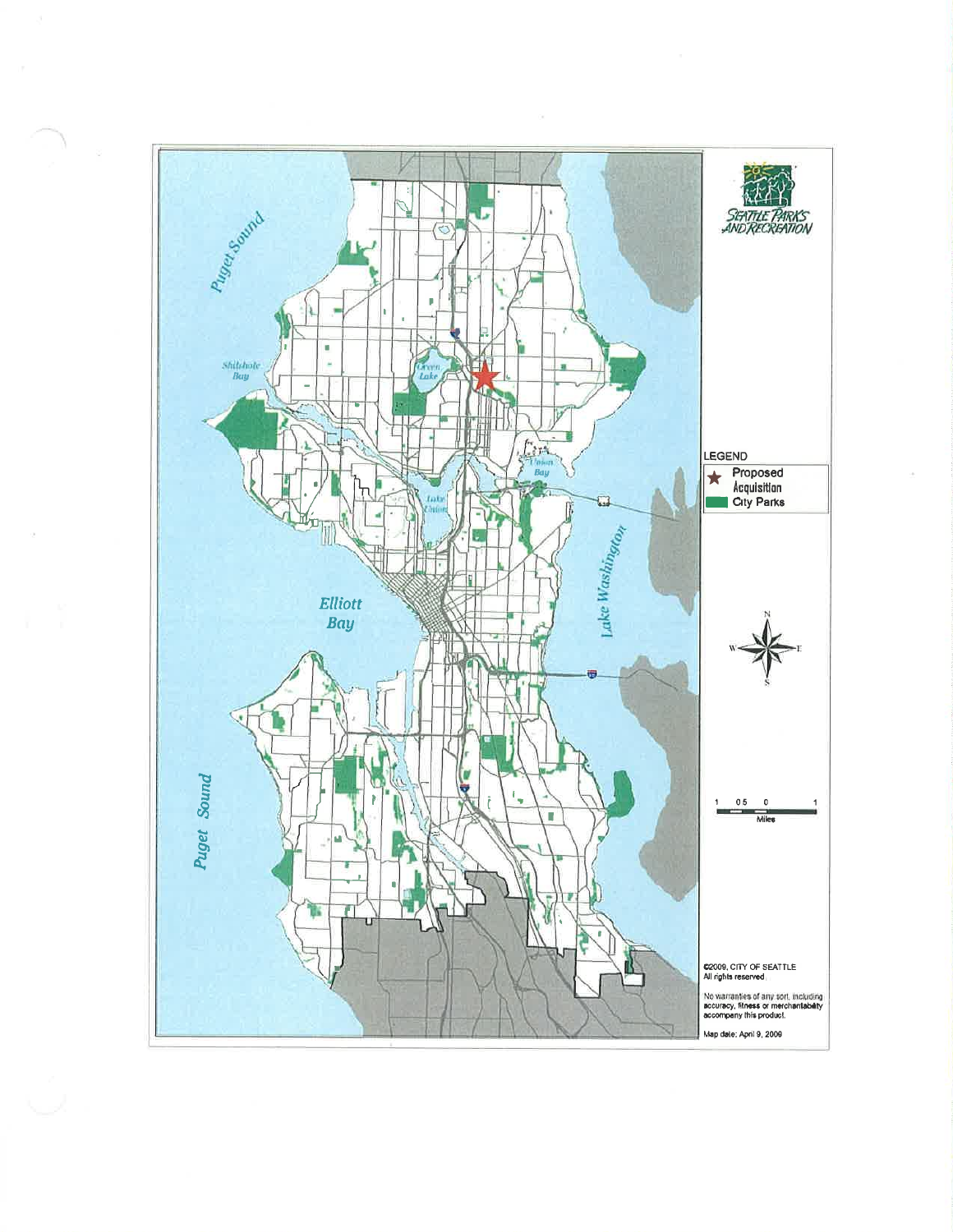